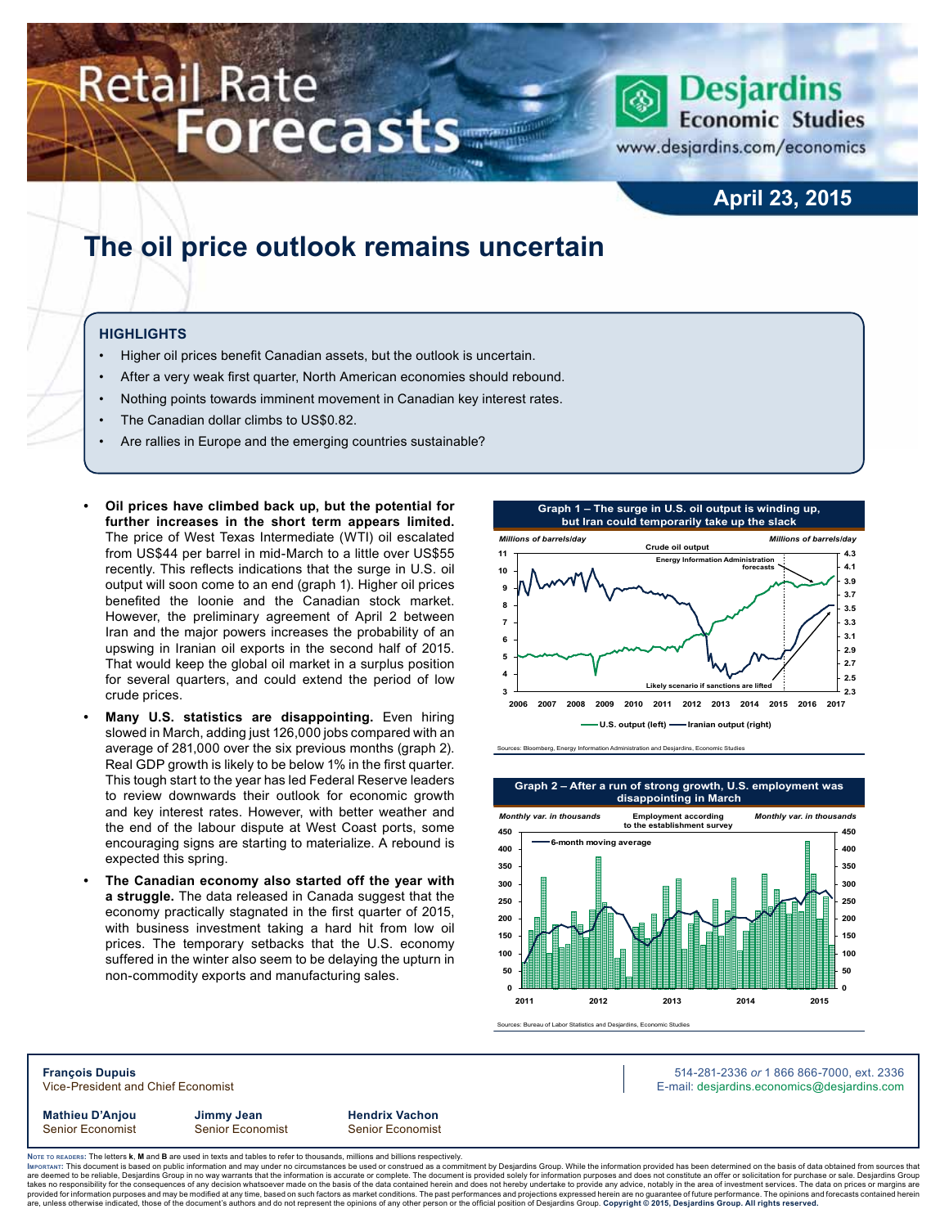# **Retail Rate** Forecasts



www.desjardins.com/economics

### **April 23, 2015**

### **The oil price outlook remains uncertain**

#### **Highlights**

- Higher oil prices benefit Canadian assets, but the outlook is uncertain.
- After a very weak first quarter, North American economies should rebound.
- Nothing points towards imminent movement in Canadian key interest rates.
- The Canadian dollar climbs to US\$0.82.
- Are rallies in Europe and the emerging countries sustainable?
- **Oil prices have climbed back up, but the potential for further increases in the short term appears limited.** The price of West Texas Intermediate (WTI) oil escalated from US\$44 per barrel in mid-March to a little over US\$55 recently. This reflects indications that the surge in U.S. oil output will soon come to an end (graph 1). Higher oil prices benefited the loonie and the Canadian stock market. However, the preliminary agreement of April 2 between Iran and the major powers increases the probability of an upswing in Iranian oil exports in the second half of 2015. That would keep the global oil market in a surplus position for several quarters, and could extend the period of low crude prices.
- **Many U.S. statistics are disappointing.** Even hiring slowed in March, adding just 126,000 jobs compared with an average of 281,000 over the six previous months (graph 2). Real GDP growth is likely to be below 1% in the first quarter. This tough start to the year has led Federal Reserve leaders to review downwards their outlook for economic growth and key interest rates. However, with better weather and the end of the labour dispute at West Coast ports, some encouraging signs are starting to materialize. A rebound is expected this spring.
- The Canadian economy also started off the year with **a struggle.** The data released in Canada suggest that the economy practically stagnated in the first quarter of 2015, with business investment taking a hard hit from low oil prices. The temporary setbacks that the U.S. economy suffered in the winter also seem to be delaying the upturn in non-commodity exports and manufacturing sales.







Sources: Bureau of Labor Statistics and Desiardins, Economic Studies

**François Dupuis** 514-281-2336 *or* 1 866 866-7000, ext. 2336 Vice-President and Chief Economist **E-mail: designediate and Chief Economist** E-mail: designediate economics@desjardins.com

**Mathieu D'Anjou Jimmy Jean Hendrix Vachon**

Senior Economist Senior Economist Senior Economist

Noте то келоекs: The letters **k, M** and **B** are used in texts and tables to refer to thousands, millions and billions respectively.<br>Імроктлит: This document is based on public information and may under no circumstances be are deemed to be reliable, Desjardins Group in no way warrants that the information is accurate or complete. The document is provided solely for information purposes and does not constitute an offer or solicitation for pur takes no responsibility for the consequences of any decision whatsoever made on the basis of the data contained herein and does not hereby undertake to provide any advice, notably in the area of investment services. The da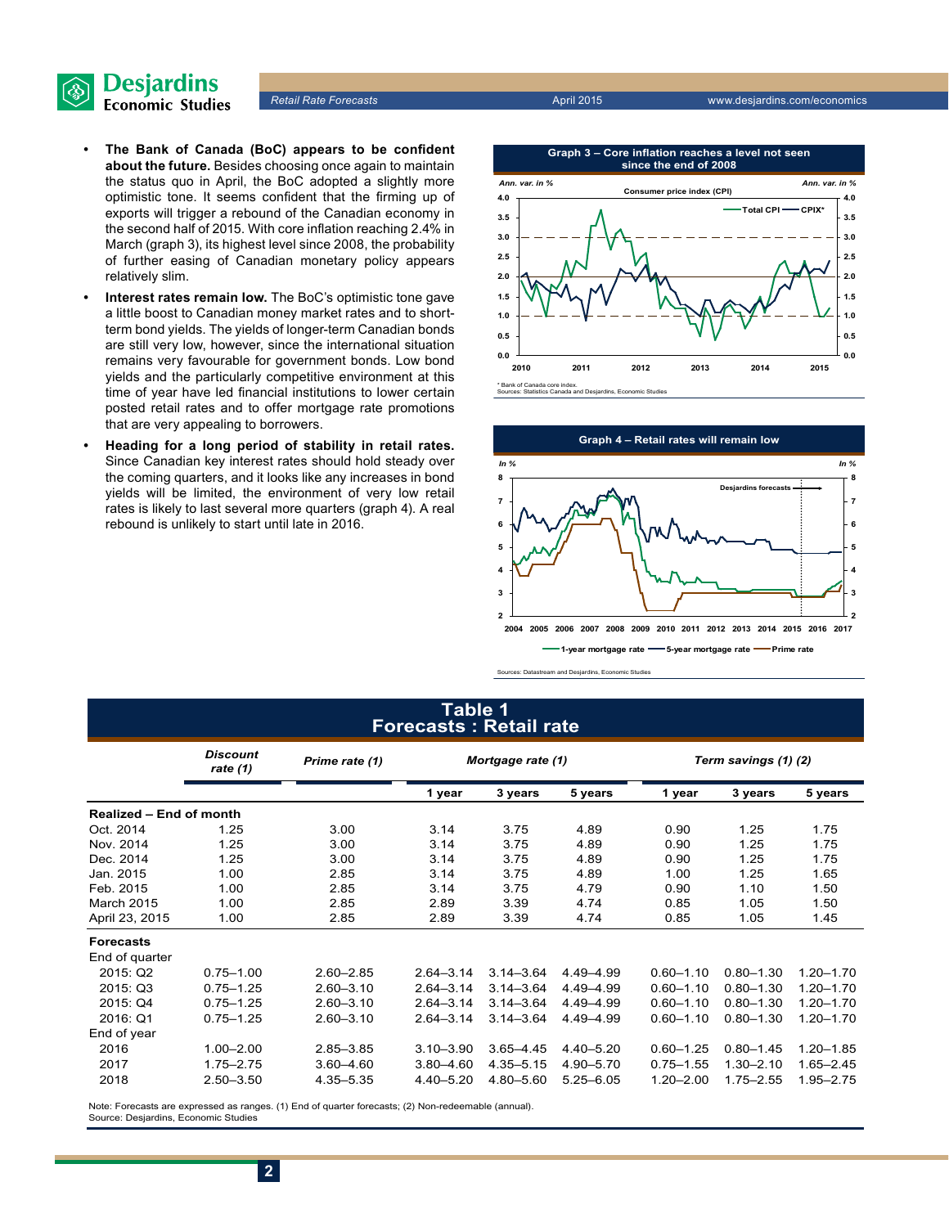

*Retail Rate Forecasts* April 2015 www.desjardins.com/economics

- **• The Bank of Canada (BoC) appears to be confident about the future.** Besides choosing once again to maintain the status quo in April, the BoC adopted a slightly more optimistic tone. It seems confident that the firming up of exports will trigger a rebound of the Canadian economy in the second half of 2015. With core inflation reaching 2.4% in March (graph 3), its highest level since 2008, the probability of further easing of Canadian monetary policy appears relatively slim.
- **Interest rates remain low.** The BoC's optimistic tone gave a little boost to Canadian money market rates and to shortterm bond yields. The yields of longer-term Canadian bonds are still very low, however, since the international situation remains very favourable for government bonds. Low bond yields and the particularly competitive environment at this time of year have led financial institutions to lower certain posted retail rates and to offer mortgage rate promotions that are very appealing to borrowers.
- **Heading for a long period of stability in retail rates.** Since Canadian key interest rates should hold steady over the coming quarters, and it looks like any increases in bond yields will be limited, the environment of very low retail rates is likely to last several more quarters (graph 4). A real rebound is unlikely to start until late in 2016.



\* Bank of Canada core index. Sources: Statistics Canada and Desjardins, Economic Studies



Sources: Datastream and Desjardins, Economic Studies

#### **Table 1 Forecasts : Retail rate**

|                                | <b>Discount</b><br>Prime rate (1)<br>rate $(1)$ |               | Mortgage rate (1) |               |               | Term savings (1) (2) |               |               |  |
|--------------------------------|-------------------------------------------------|---------------|-------------------|---------------|---------------|----------------------|---------------|---------------|--|
|                                |                                                 |               | 1 year            | 3 years       | 5 years       | 1 year               | 3 years       | 5 years       |  |
| <b>Realized - End of month</b> |                                                 |               |                   |               |               |                      |               |               |  |
| Oct. 2014                      | 1.25                                            | 3.00          | 3.14              | 3.75          | 4.89          | 0.90                 | 1.25          | 1.75          |  |
| Nov. 2014                      | 1.25                                            | 3.00          | 3.14              | 3.75          | 4.89          | 0.90                 | 1.25          | 1.75          |  |
| Dec. 2014                      | 1.25                                            | 3.00          | 3.14              | 3.75          | 4.89          | 0.90                 | 1.25          | 1.75          |  |
| Jan. 2015                      | 1.00                                            | 2.85          | 3.14              | 3.75          | 4.89          | 1.00                 | 1.25          | 1.65          |  |
| Feb. 2015                      | 1.00                                            | 2.85          | 3.14              | 3.75          | 4.79          | 0.90                 | 1.10          | 1.50          |  |
| March 2015                     | 1.00                                            | 2.85          | 2.89              | 3.39          | 4.74          | 0.85                 | 1.05          | 1.50          |  |
| April 23, 2015                 | 1.00                                            | 2.85          | 2.89              | 3.39          | 4.74          | 0.85                 | 1.05          | 1.45          |  |
| <b>Forecasts</b>               |                                                 |               |                   |               |               |                      |               |               |  |
| End of quarter                 |                                                 |               |                   |               |               |                      |               |               |  |
| 2015: Q2                       | $0.75 - 1.00$                                   | $2.60 - 2.85$ | $2.64 - 3.14$     | $3.14 - 3.64$ | 4.49 - 4.99   | $0.60 - 1.10$        | $0.80 - 1.30$ | $1.20 - 1.70$ |  |
| 2015: Q3                       | $0.75 - 1.25$                                   | $2.60 - 3.10$ | $2.64 - 3.14$     | $3.14 - 3.64$ | 4.49-4.99     | $0.60 - 1.10$        | $0.80 - 1.30$ | $1.20 - 1.70$ |  |
| 2015: Q4                       | $0.75 - 1.25$                                   | $2.60 - 3.10$ | $2.64 - 3.14$     | $3.14 - 3.64$ | 4.49-4.99     | $0.60 - 1.10$        | $0.80 - 1.30$ | $1.20 - 1.70$ |  |
| 2016: Q1                       | $0.75 - 1.25$                                   | $2.60 - 3.10$ | $2.64 - 3.14$     | $3.14 - 3.64$ | 4.49 - 4.99   | $0.60 - 1.10$        | $0.80 - 1.30$ | 1.20-1.70     |  |
| End of year                    |                                                 |               |                   |               |               |                      |               |               |  |
| 2016                           | $1.00 - 2.00$                                   | $2.85 - 3.85$ | $3.10 - 3.90$     | $3.65 - 4.45$ | $4.40 - 5.20$ | $0.60 - 1.25$        | $0.80 - 1.45$ | $1.20 - 1.85$ |  |
| 2017                           | $1.75 - 2.75$                                   | 3.60-4.60     | $3.80 - 4.60$     | $4.35 - 5.15$ | 4.90-5.70     | $0.75 - 1.55$        | $1.30 - 2.10$ | $1.65 - 2.45$ |  |
| 2018                           | $2.50 - 3.50$                                   | 4.35 - 5.35   | 4.40 - 5.20       | 4.80-5.60     | $5.25 - 6.05$ | $1.20 - 2.00$        | $1.75 - 2.55$ | 1.95-2.75     |  |

Note: Forecasts are expressed as ranges. (1) End of quarter forecasts; (2) Non-redeemable (annual). Source: Desjardins, Economic Studies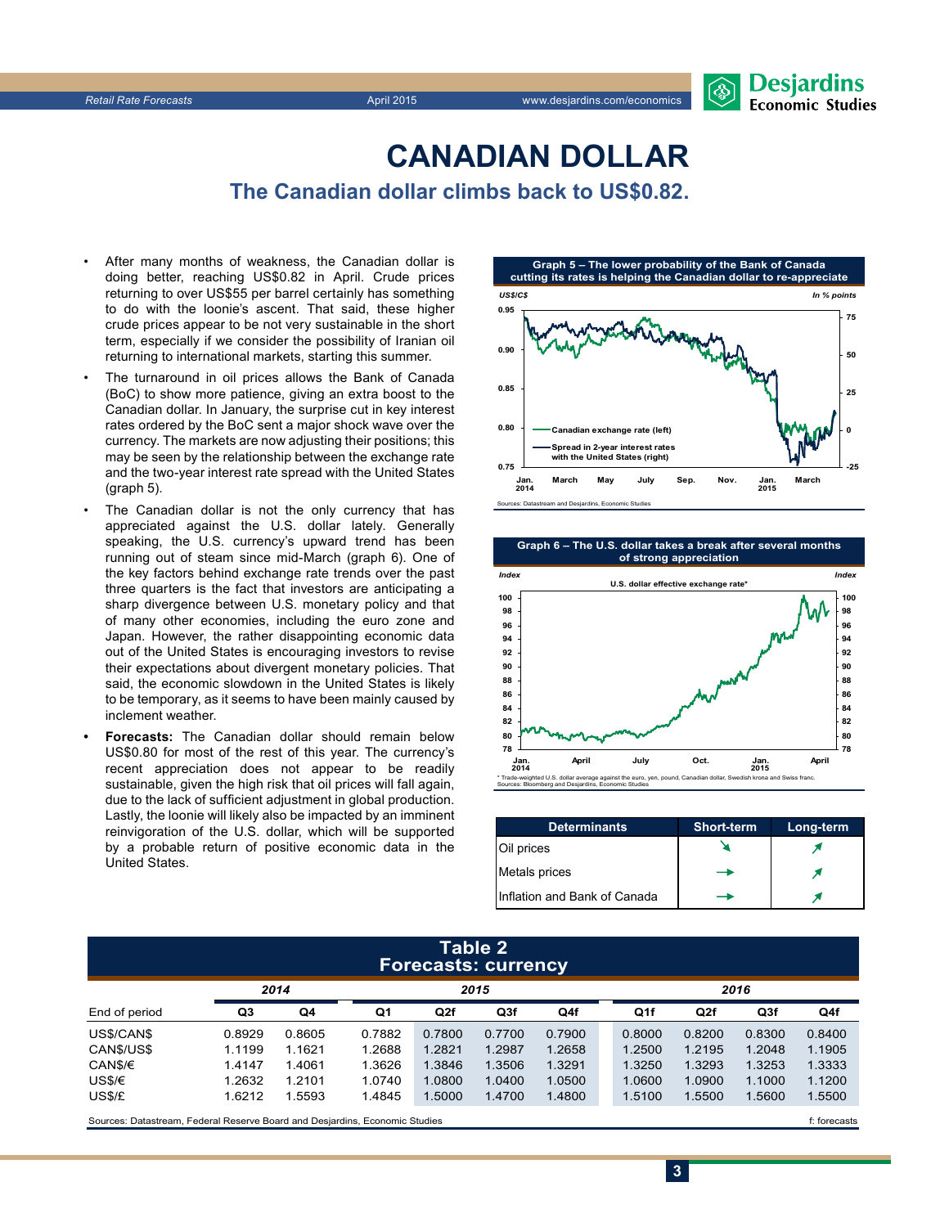

## **CanadiAn Dollar**

**The Canadian dollar climbs back to US\$0.82.**

- After many months of weakness, the Canadian dollar is doing better, reaching US\$0.82 in April. Crude prices returning to over US\$55 per barrel certainly has something to do with the loonie's ascent. That said, these higher crude prices appear to be not very sustainable in the short term, especially if we consider the possibility of Iranian oil returning to international markets, starting this summer.
- The turnaround in oil prices allows the Bank of Canada (BoC) to show more patience, giving an extra boost to the Canadian dollar. In January, the surprise cut in key interest rates ordered by the BoC sent a major shock wave over the currency. The markets are now adjusting their positions; this may be seen by the relationship between the exchange rate and the two-year interest rate spread with the United States (graph 5).
- The Canadian dollar is not the only currency that has appreciated against the U.S. dollar lately. Generally speaking, the U.S. currency's upward trend has been running out of steam since mid-March (graph 6). One of the key factors behind exchange rate trends over the past three quarters is the fact that investors are anticipating a sharp divergence between U.S. monetary policy and that of many other economies, including the euro zone and Japan. However, the rather disappointing economic data out of the United States is encouraging investors to revise their expectations about divergent monetary policies. That said, the economic slowdown in the United States is likely to be temporary, as it seems to have been mainly caused by inclement weather.
- **Forecasts:** The Canadian dollar should remain below US\$0.80 for most of the rest of this year. The currency's recent appreciation does not appear to be readily sustainable, given the high risk that oil prices will fall again, due to the lack of sufficient adjustment in global production. Lastly, the loonie will likely also be impacted by an imminent reinvigoration of the U.S. dollar, which will be supported by a probable return of positive economic data in the United States.



**Graph 6 – The U.S. dollar takes a break after several months of strong appreciation**



| <b>Determinants</b>          | <b>Short-term</b> | Long-term |
|------------------------------|-------------------|-----------|
| Oil prices                   |                   |           |
| Metals prices                |                   |           |
| Inflation and Bank of Canada |                   |           |

**3**

#### **Table 2 Forecasts: currency**

|               |        | 2014   | 2015   |        |        |        | 2016   |        |        |        |  |
|---------------|--------|--------|--------|--------|--------|--------|--------|--------|--------|--------|--|
| End of period | Q3     | Q4     | Q1     | Q2f    | Q3f    | Q4f    | Q1f    | Q2f    | Q3f    | Q4f    |  |
| US\$/CAN\$    | 0.8929 | 0.8605 | 0.7882 | 0.7800 | 0.7700 | 0.7900 | 0.8000 | 0.8200 | 0.8300 | 0.8400 |  |
| CAN\$/US\$    | 1.1199 | 1.1621 | 1.2688 | 1.2821 | 1.2987 | 1.2658 | 1.2500 | 1.2195 | 1.2048 | 1.1905 |  |
| CAN\$/€       | 1.4147 | 1.4061 | 1.3626 | 1.3846 | 1.3506 | 1.3291 | 1.3250 | 1.3293 | 1.3253 | 1.3333 |  |
| US\$/€        | 1.2632 | 1.2101 | 1.0740 | 1.0800 | 1.0400 | 1.0500 | 1.0600 | 1.0900 | 1.1000 | 1.1200 |  |
| US\$/£        | 1.6212 | .5593  | 1.4845 | 1.5000 | 1.4700 | 1.4800 | 1.5100 | 1.5500 | 1.5600 | 1.5500 |  |
|               |        |        |        |        |        |        |        |        |        |        |  |

Sources: Datastream, Federal Reserve Board and Desjardins, Economic Studies files for example of the studies files forecasts files forecasts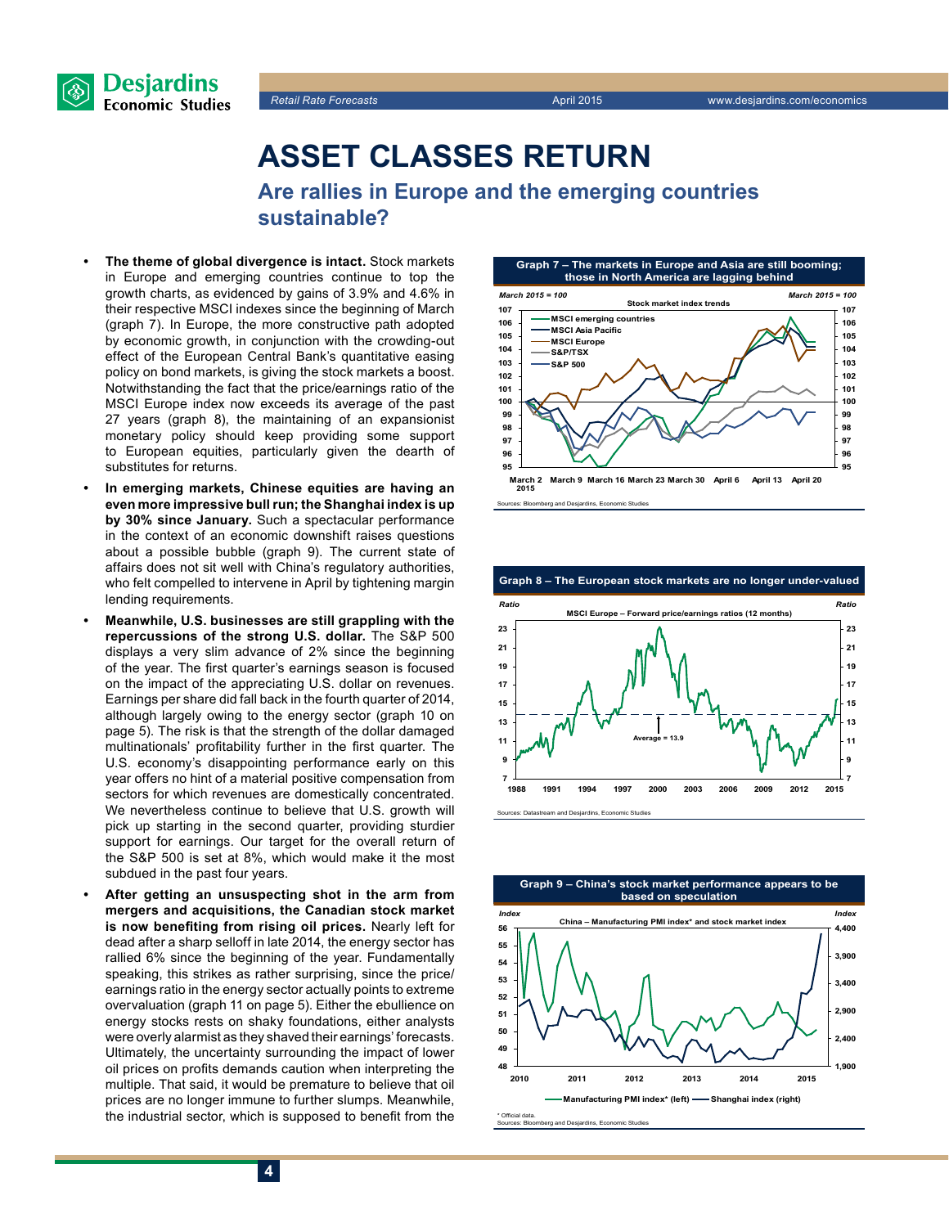



### **Asset classes return**

**Are rallies in Europe and the emerging countries sustainable?**

- **The theme of global divergence is intact.** Stock markets in Europe and emerging countries continue to top the growth charts, as evidenced by gains of 3.9% and 4.6% in their respective MSCI indexes since the beginning of March (graph 7). In Europe, the more constructive path adopted by economic growth, in conjunction with the crowding-out effect of the European Central Bank's quantitative easing policy on bond markets, is giving the stock markets a boost. Notwithstanding the fact that the price/earnings ratio of the MSCI Europe index now exceeds its average of the past 27 years (graph 8), the maintaining of an expansionist monetary policy should keep providing some support to European equities, particularly given the dearth of substitutes for returns.
- In emerging markets, Chinese equities are having an **even more impressive bull run; the Shanghai index is up by 30% since January.** Such a spectacular performance in the context of an economic downshift raises questions about a possible bubble (graph 9). The current state of affairs does not sit well with China's regulatory authorities, who felt compelled to intervene in April by tightening margin lending requirements.
- **• Meanwhile, U.S. businesses are still grappling with the repercussions of the strong U.S. dollar.** The S&P 500 displays a very slim advance of 2% since the beginning of the year. The first quarter's earnings season is focused on the impact of the appreciating U.S. dollar on revenues. Earnings per share did fall back in the fourth quarter of 2014, although largely owing to the energy sector (graph 10 on page 5). The risk is that the strength of the dollar damaged multinationals' profitability further in the first quarter. The U.S. economy's disappointing performance early on this year offers no hint of a material positive compensation from sectors for which revenues are domestically concentrated. We nevertheless continue to believe that U.S. growth will pick up starting in the second quarter, providing sturdier support for earnings. Our target for the overall return of the S&P 500 is set at 8%, which would make it the most subdued in the past four years.
- After getting an unsuspecting shot in the arm from **mergers and acquisitions, the Canadian stock market is now benefiting from rising oil prices.** Nearly left for dead after a sharp selloff in late 2014, the energy sector has rallied 6% since the beginning of the year. Fundamentally speaking, this strikes as rather surprising, since the price/ earnings ratio in the energy sector actually points to extreme overvaluation (graph 11 on page 5). Either the ebullience on energy stocks rests on shaky foundations, either analysts were overly alarmist as they shaved their earnings' forecasts. Ultimately, the uncertainty surrounding the impact of lower oil prices on profits demands caution when interpreting the multiple. That said, it would be premature to believe that oil prices are no longer immune to further slumps. Meanwhile, the industrial sector, which is supposed to benefit from the



Sources: Bloomberg and Desjardins, Economic Studies